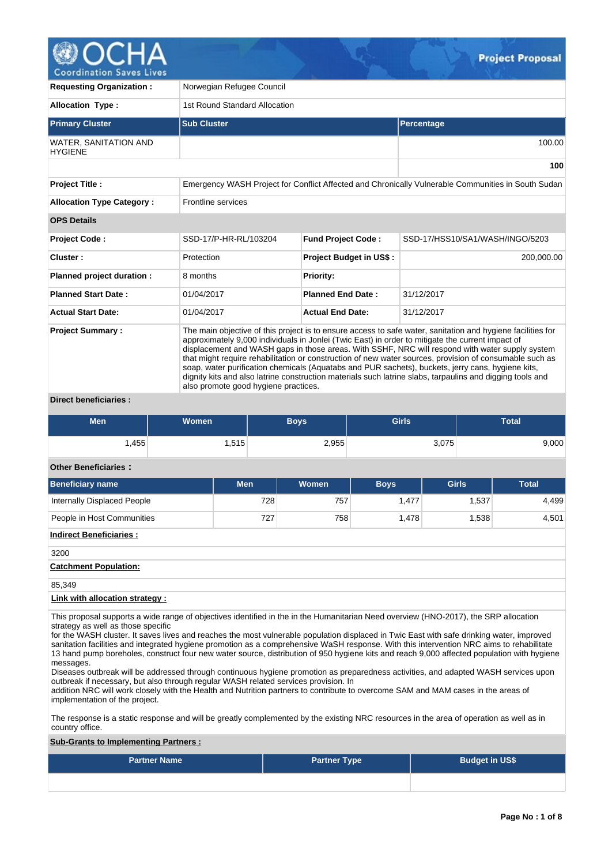

**Requesting Organization :** Norwegian Refugee Council **Allocation Type :** 1st Round Standard Allocation **Primary Cluster Sub Cluster Sub Cluster** Sub Cluster Sub Cluster Sub Cluster Sub Cluster Sub Cluster Sub Cluster WATER, SANITATION AND **HYGIENE** 100.00 **100 Project Title :** Emergency WASH Project for Conflict Affected and Chronically Vulnerable Communities in South Sudan **Allocation Type Category :** Frontline services **OPS Details Project Code :** SSD-17/P-HR-RL/103204 **Fund Project Code :** SSD-17/HSS10/SA1/WASH/INGO/5203 **Cluster :** 200,000.00 **Protection Project Budget in US\$ :** 200,000.000.00 **200,000.00 Planned project duration :** 8 months **Priority: Planned Start Date :** 01/04/2017 **Planned End Date :** 31/12/2017 **Actual Start Date:** 01/04/2017 **Actual End Date:** 31/12/2017 **Project Summary :** The main objective of this project is to ensure access to safe water, sanitation and hygiene facilities for approximately 9,000 individuals in Jonlei (Twic East) in order to mitigate the current impact of displacement and WASH gaps in those areas. With SSHF, NRC will respond with water supply system that might require rehabilitation or construction of new water sources, provision of consumable such as soap, water purification chemicals (Aquatabs and PUR sachets), buckets, jerry cans, hygiene kits, dignity kits and also latrine construction materials such latrine slabs, tarpaulins and digging tools and also promote good hygiene practices.

### **Direct beneficiaries :**

| <b>Men</b> | <b>Women</b> | Boys' | <b>Girls</b> | <b>Total</b> |
|------------|--------------|-------|--------------|--------------|
| .455       | 1,515        | 2,955 | 3,075        | 9,000        |

## **Other Beneficiaries :**

| Beneficiary name                   | <b>Men</b> | Women | <b>Boys</b> | <b>Girls</b> | <b>Total</b> |  |  |  |  |  |
|------------------------------------|------------|-------|-------------|--------------|--------------|--|--|--|--|--|
| <b>Internally Displaced People</b> | 728        | 757   | 1,477       | 1,537        | 4,499        |  |  |  |  |  |
| People in Host Communities         | 727        | 758   | 1,478       | 1,538        | 4,501        |  |  |  |  |  |
| <b>Indirect Beneficiaries:</b>     |            |       |             |              |              |  |  |  |  |  |
| 3200                               |            |       |             |              |              |  |  |  |  |  |
| <b>Catchment Population:</b>       |            |       |             |              |              |  |  |  |  |  |
| 85,349                             |            |       |             |              |              |  |  |  |  |  |
| Link with allocation strategy:     |            |       |             |              |              |  |  |  |  |  |

This proposal supports a wide range of objectives identified in the in the Humanitarian Need overview (HNO-2017), the SRP allocation strategy as well as those specific

for the WASH cluster. It saves lives and reaches the most vulnerable population displaced in Twic East with safe drinking water, improved sanitation facilities and integrated hygiene promotion as a comprehensive WaSH response. With this intervention NRC aims to rehabilitate 13 hand pump boreholes, construct four new water source, distribution of 950 hygiene kits and reach 9,000 affected population with hygiene messages.

Diseases outbreak will be addressed through continuous hygiene promotion as preparedness activities, and adapted WASH services upon outbreak if necessary, but also through regular WASH related services provision. In

addition NRC will work closely with the Health and Nutrition partners to contribute to overcome SAM and MAM cases in the areas of implementation of the project.

The response is a static response and will be greatly complemented by the existing NRC resources in the area of operation as well as in country office.

### **Sub-Grants to Implementing Partners :**

| <b>Partner Name</b> | <b>Partner Type</b> | <b>Budget in US\$</b> |
|---------------------|---------------------|-----------------------|
|                     |                     |                       |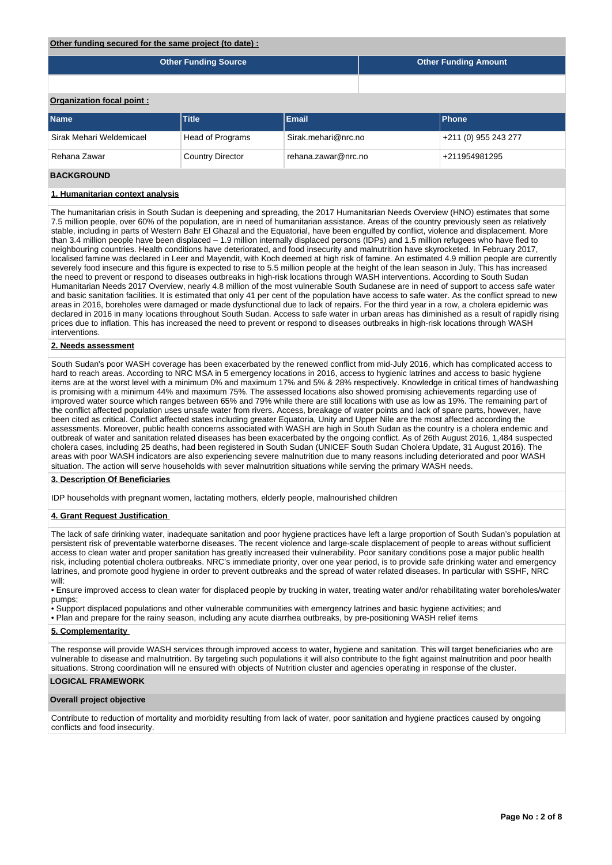### **Other funding secured for the same project (to date) :**

|                           | <b>Other Funding Source</b> | <b>Other Funding Amount</b> |              |
|---------------------------|-----------------------------|-----------------------------|--------------|
|                           |                             |                             |              |
| Organization focal point: |                             |                             |              |
| <b>Name</b>               | <b>Title</b>                | Email                       | <b>Phone</b> |

| ---------                | -------          | .                   | .                    |
|--------------------------|------------------|---------------------|----------------------|
| Sirak Mehari Weldemicael | Head of Programs | Sirak.mehari@nrc.no | +211 (0) 955 243 277 |
| Rehana Zawar             | Country Director | rehana.zawar@nrc.no | +211954981295        |

## **BACKGROUND**

### **1. Humanitarian context analysis**

The humanitarian crisis in South Sudan is deepening and spreading, the 2017 Humanitarian Needs Overview (HNO) estimates that some 7.5 million people, over 60% of the population, are in need of humanitarian assistance. Areas of the country previously seen as relatively stable, including in parts of Western Bahr El Ghazal and the Equatorial, have been engulfed by conflict, violence and displacement. More than 3.4 million people have been displaced – 1.9 million internally displaced persons (IDPs) and 1.5 million refugees who have fled to neighbouring countries. Health conditions have deteriorated, and food insecurity and malnutrition have skyrocketed. In February 2017, localised famine was declared in Leer and Mayendit, with Koch deemed at high risk of famine. An estimated 4.9 million people are currently severely food insecure and this figure is expected to rise to 5.5 million people at the height of the lean season in July. This has increased the need to prevent or respond to diseases outbreaks in high-risk locations through WASH interventions. According to South Sudan Humanitarian Needs 2017 Overview, nearly 4.8 million of the most vulnerable South Sudanese are in need of support to access safe water and basic sanitation facilities. It is estimated that only 41 per cent of the population have access to safe water. As the conflict spread to new areas in 2016, boreholes were damaged or made dysfunctional due to lack of repairs. For the third year in a row, a cholera epidemic was declared in 2016 in many locations throughout South Sudan. Access to safe water in urban areas has diminished as a result of rapidly rising prices due to inflation. This has increased the need to prevent or respond to diseases outbreaks in high-risk locations through WASH interventions.

### **2. Needs assessment**

South Sudan's poor WASH coverage has been exacerbated by the renewed conflict from mid-July 2016, which has complicated access to hard to reach areas. According to NRC MSA in 5 emergency locations in 2016, access to hygienic latrines and access to basic hygiene items are at the worst level with a minimum 0% and maximum 17% and 5% & 28% respectively. Knowledge in critical times of handwashing is promising with a minimum 44% and maximum 75%. The assessed locations also showed promising achievements regarding use of improved water source which ranges between 65% and 79% while there are still locations with use as low as 19%. The remaining part of the conflict affected population uses unsafe water from rivers. Access, breakage of water points and lack of spare parts, however, have been cited as critical. Conflict affected states including greater Equatoria, Unity and Upper Nile are the most affected according the assessments. Moreover, public health concerns associated with WASH are high in South Sudan as the country is a cholera endemic and outbreak of water and sanitation related diseases has been exacerbated by the ongoing conflict. As of 26th August 2016, 1,484 suspected cholera cases, including 25 deaths, had been registered in South Sudan (UNICEF South Sudan Cholera Update, 31 August 2016). The areas with poor WASH indicators are also experiencing severe malnutrition due to many reasons including deteriorated and poor WASH situation. The action will serve households with sever malnutrition situations while serving the primary WASH needs.

### **3. Description Of Beneficiaries**

IDP households with pregnant women, lactating mothers, elderly people, malnourished children

#### **4. Grant Request Justification**

The lack of safe drinking water, inadequate sanitation and poor hygiene practices have left a large proportion of South Sudan's population at persistent risk of preventable waterborne diseases. The recent violence and large-scale displacement of people to areas without sufficient access to clean water and proper sanitation has greatly increased their vulnerability. Poor sanitary conditions pose a major public health risk, including potential cholera outbreaks. NRC's immediate priority, over one year period, is to provide safe drinking water and emergency latrines, and promote good hygiene in order to prevent outbreaks and the spread of water related diseases. In particular with SSHF, NRC will:

• Ensure improved access to clean water for displaced people by trucking in water, treating water and/or rehabilitating water boreholes/water pumps;

• Support displaced populations and other vulnerable communities with emergency latrines and basic hygiene activities; and

• Plan and prepare for the rainy season, including any acute diarrhea outbreaks, by pre-positioning WASH relief items

### **5. Complementarity**

The response will provide WASH services through improved access to water, hygiene and sanitation. This will target beneficiaries who are vulnerable to disease and malnutrition. By targeting such populations it will also contribute to the fight against malnutrition and poor health situations. Strong coordination will ne ensured with objects of Nutrition cluster and agencies operating in response of the cluster.

### **LOGICAL FRAMEWORK**

#### **Overall project objective**

Contribute to reduction of mortality and morbidity resulting from lack of water, poor sanitation and hygiene practices caused by ongoing conflicts and food insecurity.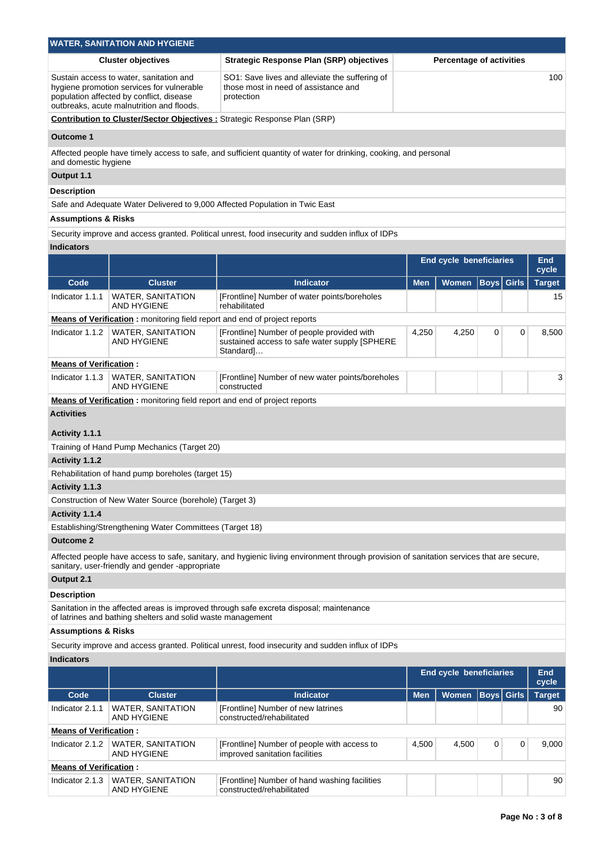|                                                  | <b>WATER, SANITATION AND HYGIENE</b>                                                                                                                                          |                                                                                                                                          |            |                                 |                   |   |               |
|--------------------------------------------------|-------------------------------------------------------------------------------------------------------------------------------------------------------------------------------|------------------------------------------------------------------------------------------------------------------------------------------|------------|---------------------------------|-------------------|---|---------------|
|                                                  | <b>Cluster objectives</b>                                                                                                                                                     | <b>Strategic Response Plan (SRP) objectives</b>                                                                                          |            | <b>Percentage of activities</b> |                   |   |               |
|                                                  | Sustain access to water, sanitation and<br>hygiene promotion services for vulnerable<br>population affected by conflict, disease<br>outbreaks, acute malnutrition and floods. | SO1: Save lives and alleviate the suffering of<br>those most in need of assistance and<br>protection                                     |            |                                 |                   |   | 100           |
|                                                  |                                                                                                                                                                               | <b>Contribution to Cluster/Sector Objectives :</b> Strategic Response Plan (SRP)                                                         |            |                                 |                   |   |               |
| Outcome 1                                        |                                                                                                                                                                               |                                                                                                                                          |            |                                 |                   |   |               |
|                                                  |                                                                                                                                                                               | Affected people have timely access to safe, and sufficient quantity of water for drinking, cooking, and personal                         |            |                                 |                   |   |               |
| and domestic hygiene                             |                                                                                                                                                                               |                                                                                                                                          |            |                                 |                   |   |               |
| Output 1.1                                       |                                                                                                                                                                               |                                                                                                                                          |            |                                 |                   |   |               |
| Description                                      |                                                                                                                                                                               |                                                                                                                                          |            |                                 |                   |   |               |
|                                                  |                                                                                                                                                                               | Safe and Adequate Water Delivered to 9,000 Affected Population in Twic East                                                              |            |                                 |                   |   |               |
| <b>Assumptions &amp; Risks</b>                   |                                                                                                                                                                               |                                                                                                                                          |            |                                 |                   |   |               |
|                                                  |                                                                                                                                                                               | Security improve and access granted. Political unrest, food insecurity and sudden influx of IDPs                                         |            |                                 |                   |   |               |
| <b>Indicators</b>                                |                                                                                                                                                                               |                                                                                                                                          |            |                                 |                   |   |               |
|                                                  |                                                                                                                                                                               |                                                                                                                                          |            | <b>End cycle beneficiaries</b>  |                   |   | <b>End</b>    |
|                                                  |                                                                                                                                                                               |                                                                                                                                          |            |                                 |                   |   | cycle         |
| Code                                             | <b>Cluster</b>                                                                                                                                                                | <b>Indicator</b>                                                                                                                         | <b>Men</b> | <b>Women</b>                    | <b>Boys</b> Girls |   | <b>Target</b> |
| Indicator 1.1.1                                  | <b>WATER, SANITATION</b><br><b>AND HYGIENE</b>                                                                                                                                | [Frontline] Number of water points/boreholes<br>rehabilitated                                                                            |            |                                 |                   |   | 15            |
|                                                  | <b>Means of Verification:</b> monitoring field report and end of project reports                                                                                              |                                                                                                                                          |            |                                 |                   |   |               |
| Indicator 1.1.2                                  | <b>WATER, SANITATION</b><br>AND HYGIENE                                                                                                                                       | [Frontline] Number of people provided with<br>sustained access to safe water supply [SPHERE<br>Standard]…                                | 4,250      | 4,250                           | $\mathbf 0$       | 0 | 8,500         |
| <b>Means of Verification:</b>                    |                                                                                                                                                                               |                                                                                                                                          |            |                                 |                   |   |               |
| Indicator 1.1.3                                  | <b>WATER, SANITATION</b><br><b>AND HYGIENE</b>                                                                                                                                | [Frontline] Number of new water points/boreholes<br>constructed                                                                          |            |                                 |                   |   | 3             |
|                                                  | Means of Verification: monitoring field report and end of project reports                                                                                                     |                                                                                                                                          |            |                                 |                   |   |               |
| <b>Activities</b>                                |                                                                                                                                                                               |                                                                                                                                          |            |                                 |                   |   |               |
|                                                  |                                                                                                                                                                               |                                                                                                                                          |            |                                 |                   |   |               |
| Activity 1.1.1                                   |                                                                                                                                                                               |                                                                                                                                          |            |                                 |                   |   |               |
|                                                  | Training of Hand Pump Mechanics (Target 20)                                                                                                                                   |                                                                                                                                          |            |                                 |                   |   |               |
| Activity 1.1.2                                   |                                                                                                                                                                               |                                                                                                                                          |            |                                 |                   |   |               |
|                                                  | Rehabilitation of hand pump boreholes (target 15)                                                                                                                             |                                                                                                                                          |            |                                 |                   |   |               |
| Activity 1.1.3                                   | Construction of New Water Source (borehole) (Target 3)                                                                                                                        |                                                                                                                                          |            |                                 |                   |   |               |
| Activity 1.1.4                                   |                                                                                                                                                                               |                                                                                                                                          |            |                                 |                   |   |               |
|                                                  | Establishing/Strengthening Water Committees (Target 18)                                                                                                                       |                                                                                                                                          |            |                                 |                   |   |               |
| <b>Outcome 2</b>                                 |                                                                                                                                                                               |                                                                                                                                          |            |                                 |                   |   |               |
|                                                  |                                                                                                                                                                               | Affected people have access to safe, sanitary, and hygienic living environment through provision of sanitation services that are secure, |            |                                 |                   |   |               |
|                                                  | sanitary, user-friendly and gender -appropriate                                                                                                                               |                                                                                                                                          |            |                                 |                   |   |               |
| Output 2.1                                       |                                                                                                                                                                               |                                                                                                                                          |            |                                 |                   |   |               |
| <b>Description</b>                               |                                                                                                                                                                               |                                                                                                                                          |            |                                 |                   |   |               |
|                                                  | of latrines and bathing shelters and solid waste management                                                                                                                   | Sanitation in the affected areas is improved through safe excreta disposal; maintenance                                                  |            |                                 |                   |   |               |
| <b>Assumptions &amp; Risks</b>                   |                                                                                                                                                                               |                                                                                                                                          |            |                                 |                   |   |               |
|                                                  |                                                                                                                                                                               |                                                                                                                                          |            |                                 |                   |   |               |
| <b>Indicators</b>                                |                                                                                                                                                                               | Security improve and access granted. Political unrest, food insecurity and sudden influx of IDPs                                         |            |                                 |                   |   |               |
|                                                  |                                                                                                                                                                               |                                                                                                                                          |            | End cycle beneficiaries         |                   |   | <b>End</b>    |
|                                                  |                                                                                                                                                                               |                                                                                                                                          |            |                                 |                   |   | cycle         |
| Code                                             | <b>Cluster</b>                                                                                                                                                                | <b>Indicator</b>                                                                                                                         | <b>Men</b> | <b>Women</b>                    | <b>Boys</b> Girls |   | <b>Target</b> |
| Indicator 2.1.1                                  | <b>WATER, SANITATION</b><br><b>AND HYGIENE</b>                                                                                                                                | [Frontline] Number of new latrines<br>constructed/rehabilitated                                                                          |            |                                 |                   |   | 90            |
| <b>Means of Verification:</b>                    |                                                                                                                                                                               |                                                                                                                                          |            |                                 |                   |   |               |
| Indicator 2.1.2                                  | <b>WATER, SANITATION</b>                                                                                                                                                      | [Frontline] Number of people with access to                                                                                              | 4,500      | 4,500                           | 0                 | 0 | 9,000         |
|                                                  | <b>AND HYGIENE</b>                                                                                                                                                            | improved sanitation facilities                                                                                                           |            |                                 |                   |   |               |
| <b>Means of Verification:</b><br>Indicator 2.1.3 | <b>WATER, SANITATION</b>                                                                                                                                                      | [Frontline] Number of hand washing facilities                                                                                            |            |                                 |                   |   | 90            |
|                                                  | AND HYGIENE                                                                                                                                                                   | constructed/rehabilitated                                                                                                                |            |                                 |                   |   |               |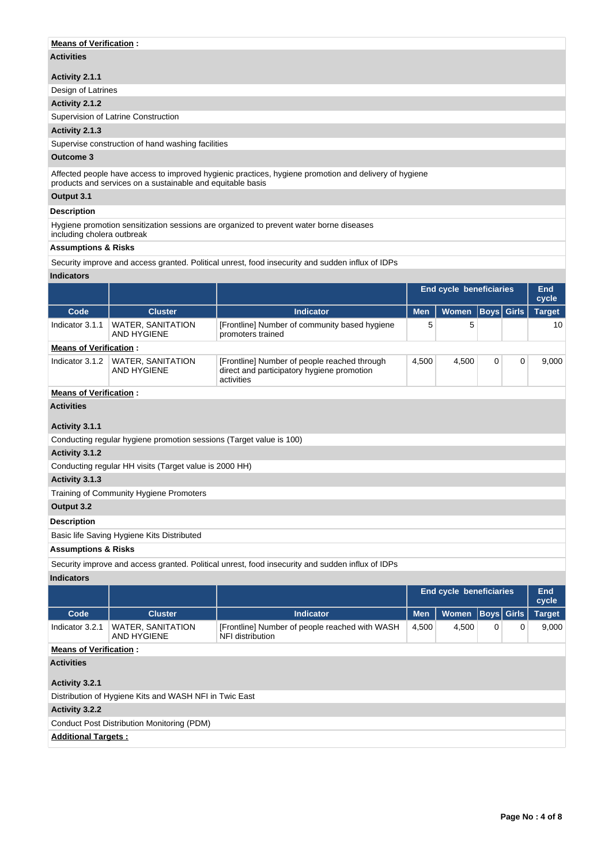## **Means of Verification :**

## **Activities**

### **Activity 2.1.1**

Design of Latrines

## **Activity 2.1.2**

Supervision of Latrine Construction

## **Activity 2.1.3**

Supervise construction of hand washing facilities

## **Outcome 3**

Affected people have access to improved hygienic practices, hygiene promotion and delivery of hygiene products and services on a sustainable and equitable basis

## **Output 3.1**

### **Description**

Hygiene promotion sensitization sessions are organized to prevent water borne diseases

# including cholera outbreak

## **Assumptions & Risks**

Security improve and access granted. Political unrest, food insecurity and sudden influx of IDPs

## **Indicators**

|                               |                                                                     |                                                                    |            | End cycle beneficiaries |             | <b>End</b><br>cycle |               |  |    |
|-------------------------------|---------------------------------------------------------------------|--------------------------------------------------------------------|------------|-------------------------|-------------|---------------------|---------------|--|----|
| Code                          | <b>Cluster</b>                                                      | <b>Indicator</b>                                                   | <b>Men</b> | <b>Women</b>            |             | Boys  Girls         | <b>Target</b> |  |    |
| Indicator 3.1.1               | <b>WATER, SANITATION</b><br>AND HYGIENE                             | [Frontline] Number of community based hygiene<br>promoters trained | 5<br>5     |                         |             |                     |               |  | 10 |
| <b>Means of Verification:</b> |                                                                     |                                                                    |            |                         |             |                     |               |  |    |
| Indicator 3.1.2               | <b>WATER, SANITATION</b><br>AND HYGIENE                             | 4,500                                                              | 4,500      | 0                       | $\mathbf 0$ | 9,000               |               |  |    |
| <b>Means of Verification:</b> |                                                                     |                                                                    |            |                         |             |                     |               |  |    |
| <b>Activities</b>             |                                                                     |                                                                    |            |                         |             |                     |               |  |    |
| Activity 3.1.1                |                                                                     |                                                                    |            |                         |             |                     |               |  |    |
|                               | Conducting regular hygiene promotion sessions (Target value is 100) |                                                                    |            |                         |             |                     |               |  |    |
| Activity 3.1.2                |                                                                     |                                                                    |            |                         |             |                     |               |  |    |
|                               | Conducting regular HH visits (Target value is 2000 HH)              |                                                                    |            |                         |             |                     |               |  |    |
| Activity 3.1.3                |                                                                     |                                                                    |            |                         |             |                     |               |  |    |
|                               | Training of Community Hygiene Promoters                             |                                                                    |            |                         |             |                     |               |  |    |

**Output 3.2**

## **Description**

Basic life Saving Hygiene Kits Distributed

### **Assumptions & Risks**

Security improve and access granted. Political unrest, food insecurity and sudden influx of IDPs

### **Indicators**

|                               |                                                        |                                                                    | End cycle beneficiaries |              |   |             | End<br>cycle  |  |
|-------------------------------|--------------------------------------------------------|--------------------------------------------------------------------|-------------------------|--------------|---|-------------|---------------|--|
| Code                          | <b>Cluster</b>                                         | <b>Indicator</b>                                                   | <b>Men</b>              | <b>Women</b> |   | Boys  Girls | <b>Target</b> |  |
| Indicator 3.2.1               | <b>WATER, SANITATION</b><br>AND HYGIENE                | [Frontline] Number of people reached with WASH<br>NFI distribution | 4,500                   | 4.500        | 0 | 0           | 9,000         |  |
| <b>Means of Verification:</b> |                                                        |                                                                    |                         |              |   |             |               |  |
| <b>Activities</b>             |                                                        |                                                                    |                         |              |   |             |               |  |
| Activity 3.2.1                |                                                        |                                                                    |                         |              |   |             |               |  |
|                               | Distribution of Hygiene Kits and WASH NFI in Twic East |                                                                    |                         |              |   |             |               |  |
| <b>Activity 3.2.2</b>         |                                                        |                                                                    |                         |              |   |             |               |  |
|                               | Conduct Post Distribution Monitoring (PDM)             |                                                                    |                         |              |   |             |               |  |
| <b>Additional Targets:</b>    |                                                        |                                                                    |                         |              |   |             |               |  |
|                               |                                                        |                                                                    |                         |              |   |             |               |  |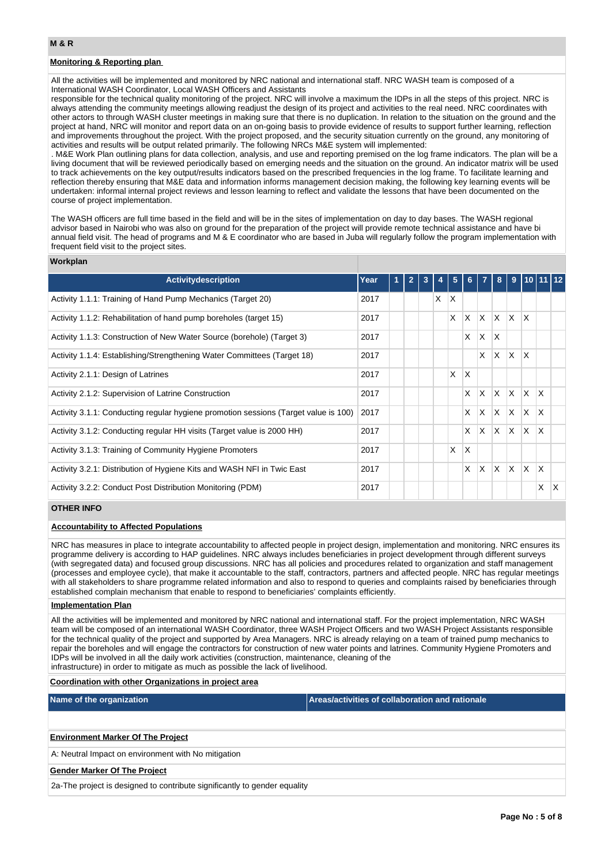## **Monitoring & Reporting plan**

All the activities will be implemented and monitored by NRC national and international staff. NRC WASH team is composed of a International WASH Coordinator, Local WASH Officers and Assistants

responsible for the technical quality monitoring of the project. NRC will involve a maximum the IDPs in all the steps of this project. NRC is always attending the community meetings allowing readjust the design of its project and activities to the real need. NRC coordinates with other actors to through WASH cluster meetings in making sure that there is no duplication. In relation to the situation on the ground and the project at hand, NRC will monitor and report data on an on-going basis to provide evidence of results to support further learning, reflection and improvements throughout the project. With the project proposed, and the security situation currently on the ground, any monitoring of activities and results will be output related primarily. The following NRCs M&E system will implemented:

. M&E Work Plan outlining plans for data collection, analysis, and use and reporting premised on the log frame indicators. The plan will be a living document that will be reviewed periodically based on emerging needs and the situation on the ground. An indicator matrix will be used to track achievements on the key output/results indicators based on the prescribed frequencies in the log frame. To facilitate learning and reflection thereby ensuring that M&E data and information informs management decision making, the following key learning events will be undertaken: informal internal project reviews and lesson learning to reflect and validate the lessons that have been documented on the course of project implementation.

The WASH officers are full time based in the field and will be in the sites of implementation on day to day bases. The WASH regional advisor based in Nairobi who was also on ground for the preparation of the project will provide remote technical assistance and have bi annual field visit. The head of programs and M & E coordinator who are based in Juba will regularly follow the program implementation with frequent field visit to the project sites.

### **Workplan**

| Activitydescription                                                                 | Year | $\overline{2}$ | 3 |   | 5        | 6.       | 7   | 8            | 9        | 110 I        |              | 11112 |
|-------------------------------------------------------------------------------------|------|----------------|---|---|----------|----------|-----|--------------|----------|--------------|--------------|-------|
| Activity 1.1.1: Training of Hand Pump Mechanics (Target 20)                         | 2017 |                |   | X | $\times$ |          |     |              |          |              |              |       |
| Activity 1.1.2: Rehabilitation of hand pump boreholes (target 15)                   | 2017 |                |   |   | X        | $\times$ | ΙX. | $\mathsf{X}$ | IX.      | ΙX.          |              |       |
| Activity 1.1.3: Construction of New Water Source (borehole) (Target 3)              | 2017 |                |   |   |          | X        | X   | X.           |          |              |              |       |
| Activity 1.1.4: Establishing/Strengthening Water Committees (Target 18)             | 2017 |                |   |   |          |          | X   | X.           | IX.      | ΙX           |              |       |
| Activity 2.1.1: Design of Latrines                                                  | 2017 |                |   |   | X        | X        |     |              |          |              |              |       |
| Activity 2.1.2: Supervision of Latrine Construction                                 | 2017 |                |   |   |          | X        | ΙX  | X X          |          | $\mathsf{X}$ | <sup>X</sup> |       |
| Activity 3.1.1: Conducting regular hygiene promotion sessions (Target value is 100) | 2017 |                |   |   |          | X        | ΙX. | $ X $ $ X $  |          | ΙX.          | X            |       |
| Activity 3.1.2: Conducting regular HH visits (Target value is 2000 HH)              | 2017 |                |   |   |          | X        | ΙX. | $ X $ $ X $  |          | IX.          | <sup>X</sup> |       |
| Activity 3.1.3: Training of Community Hygiene Promoters                             | 2017 |                |   |   | X        | $\times$ |     |              |          |              |              |       |
| Activity 3.2.1: Distribution of Hygiene Kits and WASH NFI in Twic East              | 2017 |                |   |   |          | X        | ΙX  | IX.          | <b>X</b> | ΙX.          | $\mathsf{X}$ |       |
| Activity 3.2.2: Conduct Post Distribution Monitoring (PDM)                          | 2017 |                |   |   |          |          |     |              |          |              | X            | X     |

### **OTHER INFO**

### **Accountability to Affected Populations**

NRC has measures in place to integrate accountability to affected people in project design, implementation and monitoring. NRC ensures its programme delivery is according to HAP guidelines. NRC always includes beneficiaries in project development through different surveys (with segregated data) and focused group discussions. NRC has all policies and procedures related to organization and staff management (processes and employee cycle), that make it accountable to the staff, contractors, partners and affected people. NRC has regular meetings with all stakeholders to share programme related information and also to respond to queries and complaints raised by beneficiaries through established complain mechanism that enable to respond to beneficiaries' complaints efficiently.

### **Implementation Plan**

All the activities will be implemented and monitored by NRC national and international staff. For the project implementation, NRC WASH team will be composed of an international WASH Coordinator, three WASH Project Officers and two WASH Project Assistants responsible for the technical quality of the project and supported by Area Managers. NRC is already relaying on a team of trained pump mechanics to repair the boreholes and will engage the contractors for construction of new water points and latrines. Community Hygiene Promoters and IDPs will be involved in all the daily work activities (construction, maintenance, cleaning of the infrastructure) in order to mitigate as much as possible the lack of livelihood.

#### **Coordination with other Organizations in project area**

| Name of the organization | Areas/activities of collaboration and rationale |
|--------------------------|-------------------------------------------------|
|                          |                                                 |

### **Environment Marker Of The Project**

A: Neutral Impact on environment with No mitigation

### **Gender Marker Of The Project**

2a-The project is designed to contribute significantly to gender equality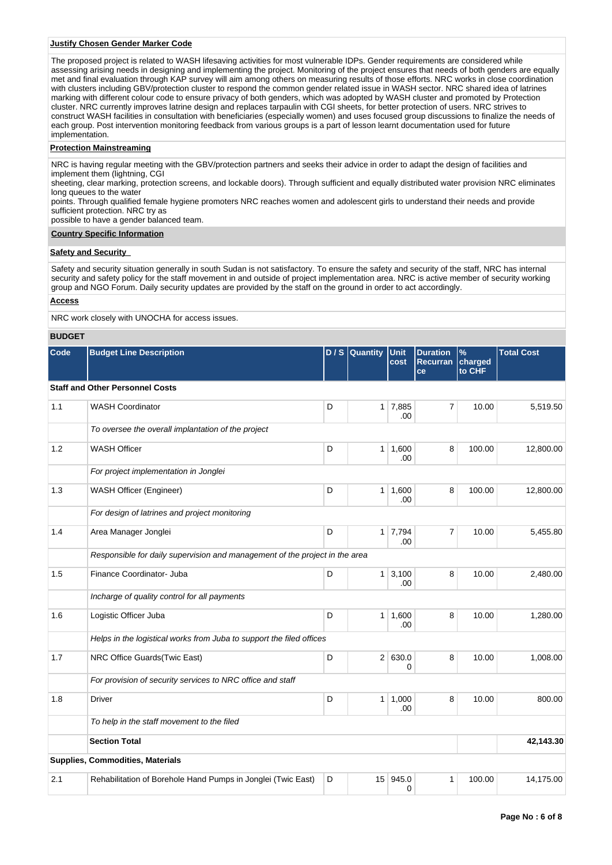### **Justify Chosen Gender Marker Code**

The proposed project is related to WASH lifesaving activities for most vulnerable IDPs. Gender requirements are considered while assessing arising needs in designing and implementing the project. Monitoring of the project ensures that needs of both genders are equally met and final evaluation through KAP survey will aim among others on measuring results of those efforts. NRC works in close coordination with clusters including GBV/protection cluster to respond the common gender related issue in WASH sector. NRC shared idea of latrines marking with different colour code to ensure privacy of both genders, which was adopted by WASH cluster and promoted by Protection cluster. NRC currently improves latrine design and replaces tarpaulin with CGI sheets, for better protection of users. NRC strives to construct WASH facilities in consultation with beneficiaries (especially women) and uses focused group discussions to finalize the needs of each group. Post intervention monitoring feedback from various groups is a part of lesson learnt documentation used for future implementation.

### **Protection Mainstreaming**

NRC is having regular meeting with the GBV/protection partners and seeks their advice in order to adapt the design of facilities and implement them (lightning, CGI

sheeting, clear marking, protection screens, and lockable doors). Through sufficient and equally distributed water provision NRC eliminates long queues to the water

points. Through qualified female hygiene promoters NRC reaches women and adolescent girls to understand their needs and provide sufficient protection. NRC try as

possible to have a gender balanced team.

### **Country Specific Information**

### **Safety and Security**

Safety and security situation generally in south Sudan is not satisfactory. To ensure the safety and security of the staff, NRC has internal security and safety policy for the staff movement in and outside of project implementation area. NRC is active member of security working group and NGO Forum. Daily security updates are provided by the staff on the ground in order to act accordingly.

### **Access**

NRC work closely with UNOCHA for access issues.

### **BUDGET**

| Code | <b>Budget Line Description</b>                                              | D/S | Quantity | Unit<br>cost          | <b>Duration</b><br><b>Recurran</b><br>ce | $\%$<br>charged<br>to CHF | <b>Total Cost</b> |
|------|-----------------------------------------------------------------------------|-----|----------|-----------------------|------------------------------------------|---------------------------|-------------------|
|      | <b>Staff and Other Personnel Costs</b>                                      |     |          |                       |                                          |                           |                   |
| 1.1  | <b>WASH Coordinator</b>                                                     | D   |          | $1 \mid 7,885$<br>.00 | $\overline{7}$                           | 10.00                     | 5,519.50          |
|      | To oversee the overall implantation of the project                          |     |          |                       |                                          |                           |                   |
| 1.2  | <b>WASH Officer</b>                                                         | D   |          | $1 \mid 1,600$<br>.00 | 8                                        | 100.00                    | 12,800.00         |
|      | For project implementation in Jonglei                                       |     |          |                       |                                          |                           |                   |
| 1.3  | WASH Officer (Engineer)                                                     | D   |          | $1 \mid 1,600$<br>.00 | 8                                        | 100.00                    | 12,800.00         |
|      | For design of latrines and project monitoring                               |     |          |                       |                                          |                           |                   |
| 1.4  | Area Manager Jonglei                                                        | D   | 1        | 7,794<br>.00          | $\overline{7}$                           | 10.00                     | 5,455.80          |
|      | Responsible for daily supervision and management of the project in the area |     |          |                       |                                          |                           |                   |
| 1.5  | Finance Coordinator- Juba                                                   | D   | 1        | 3,100<br>.00          | 8                                        | 10.00                     | 2,480.00          |
|      | Incharge of quality control for all payments                                |     |          |                       |                                          |                           |                   |
| 1.6  | Logistic Officer Juba                                                       | D   | 1        | 1,600<br>.00          | 8                                        | 10.00                     | 1,280.00          |
|      | Helps in the logistical works from Juba to support the filed offices        |     |          |                       |                                          |                           |                   |
| 1.7  | NRC Office Guards(Twic East)                                                | D   |          | 2 630.0<br>0          | 8                                        | 10.00                     | 1,008.00          |
|      | For provision of security services to NRC office and staff                  |     |          |                       |                                          |                           |                   |
| 1.8  | <b>Driver</b>                                                               | D   | 1        | 1,000<br>.00          | 8                                        | 10.00                     | 800.00            |
|      | To help in the staff movement to the filed                                  |     |          |                       |                                          |                           |                   |
|      | <b>Section Total</b>                                                        |     |          |                       |                                          |                           | 42,143.30         |
|      | Supplies, Commodities, Materials                                            |     |          |                       |                                          |                           |                   |
| 2.1  | Rehabilitation of Borehole Hand Pumps in Jonglei (Twic East)                | D   |          | 15 945.0<br>0         | 1                                        | 100.00                    | 14,175.00         |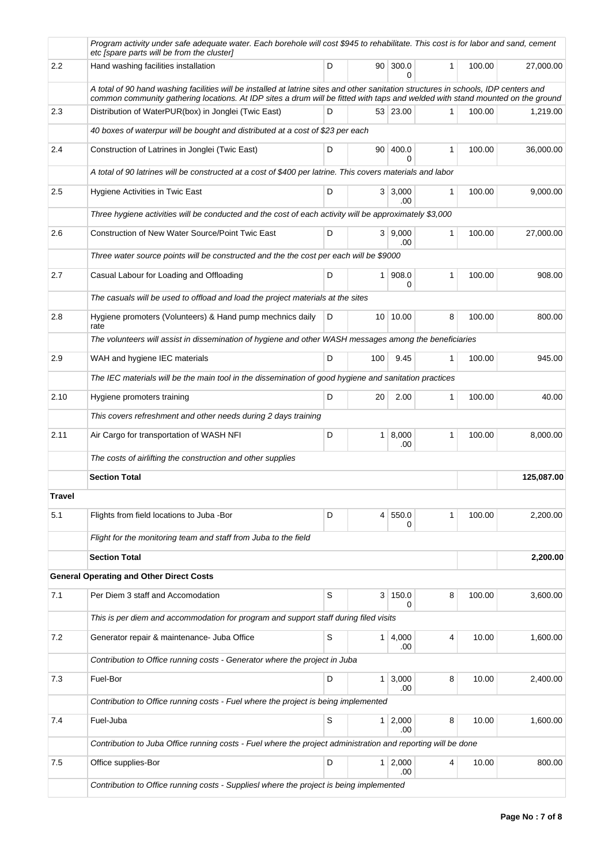|        | Program activity under safe adequate water. Each borehole will cost \$945 to rehabilitate. This cost is for labor and sand, cement<br>etc [spare parts will be from the cluster]                                                                                       |   |                 |                       |              |        |            |
|--------|------------------------------------------------------------------------------------------------------------------------------------------------------------------------------------------------------------------------------------------------------------------------|---|-----------------|-----------------------|--------------|--------|------------|
| 2.2    | Hand washing facilities installation                                                                                                                                                                                                                                   | D | 90 <sup>°</sup> | 300.0<br>$\Omega$     | $\mathbf{1}$ | 100.00 | 27,000.00  |
|        | A total of 90 hand washing facilities will be installed at latrine sites and other sanitation structures in schools, IDP centers and<br>common community gathering locations. At IDP sites a drum will be fitted with taps and welded with stand mounted on the ground |   |                 |                       |              |        |            |
| 2.3    | Distribution of WaterPUR(box) in Jonglei (Twic East)                                                                                                                                                                                                                   | D |                 | 53 23.00              | 1            | 100.00 | 1,219.00   |
|        | 40 boxes of waterpur will be bought and distributed at a cost of \$23 per each                                                                                                                                                                                         |   |                 |                       |              |        |            |
| 2.4    | Construction of Latrines in Jonglei (Twic East)                                                                                                                                                                                                                        | D | 90              | 400.0<br>$\Omega$     | 1            | 100.00 | 36,000.00  |
|        | A total of 90 latrines will be constructed at a cost of \$400 per latrine. This covers materials and labor                                                                                                                                                             |   |                 |                       |              |        |            |
| 2.5    | Hygiene Activities in Twic East                                                                                                                                                                                                                                        | D |                 | 3 3,000<br>.00        | 1            | 100.00 | 9,000.00   |
|        | Three hygiene activities will be conducted and the cost of each activity will be approximately \$3,000                                                                                                                                                                 |   |                 |                       |              |        |            |
| 2.6    | Construction of New Water Source/Point Twic East                                                                                                                                                                                                                       | D |                 | 3   9,000<br>.00      | 1            | 100.00 | 27,000.00  |
|        | Three water source points will be constructed and the the cost per each will be \$9000                                                                                                                                                                                 |   |                 |                       |              |        |            |
| 2.7    | Casual Labour for Loading and Offloading                                                                                                                                                                                                                               | D | 1 <sup>1</sup>  | 908.0<br>0            | 1            | 100.00 | 908.00     |
|        | The casuals will be used to offload and load the project materials at the sites                                                                                                                                                                                        |   |                 |                       |              |        |            |
| 2.8    | Hygiene promoters (Volunteers) & Hand pump mechnics daily<br>rate                                                                                                                                                                                                      | D |                 | 10 10.00              | 8            | 100.00 | 800.00     |
|        | The volunteers will assist in dissemination of hygiene and other WASH messages among the beneficiaries                                                                                                                                                                 |   |                 |                       |              |        |            |
| 2.9    | WAH and hygiene IEC materials                                                                                                                                                                                                                                          | D | 100             | 9.45                  | 1            | 100.00 | 945.00     |
|        | The IEC materials will be the main tool in the dissemination of good hygiene and sanitation practices                                                                                                                                                                  |   |                 |                       |              |        |            |
| 2.10   | Hygiene promoters training                                                                                                                                                                                                                                             | D | 20              | 2.00                  | 1            | 100.00 | 40.00      |
|        | This covers refreshment and other needs during 2 days training                                                                                                                                                                                                         |   |                 |                       |              |        |            |
| 2.11   | Air Cargo for transportation of WASH NFI                                                                                                                                                                                                                               | D |                 | 1   8,000<br>.00      | 1            | 100.00 | 8,000.00   |
|        | The costs of airlifting the construction and other supplies                                                                                                                                                                                                            |   |                 |                       |              |        |            |
|        | <b>Section Total</b>                                                                                                                                                                                                                                                   |   |                 |                       |              |        | 125,087.00 |
| Travel |                                                                                                                                                                                                                                                                        |   |                 |                       |              |        |            |
| 5.1    | Flights from field locations to Juba -Bor                                                                                                                                                                                                                              | D | $\vert 4 \vert$ | 550.0<br>0            | 1            | 100.00 | 2,200.00   |
|        | Flight for the monitoring team and staff from Juba to the field                                                                                                                                                                                                        |   |                 |                       |              |        |            |
|        | <b>Section Total</b>                                                                                                                                                                                                                                                   |   |                 |                       |              |        | 2,200.00   |
|        | <b>General Operating and Other Direct Costs</b>                                                                                                                                                                                                                        |   |                 |                       |              |        |            |
| 7.1    | Per Diem 3 staff and Accomodation                                                                                                                                                                                                                                      | S | 3 <sup>1</sup>  | 150.0<br>0            | 8            | 100.00 | 3,600.00   |
|        | This is per diem and accommodation for program and support staff during filed visits                                                                                                                                                                                   |   |                 |                       |              |        |            |
| 7.2    | Generator repair & maintenance- Juba Office                                                                                                                                                                                                                            | S | 1 <sup>1</sup>  | 4,000<br>.00          | 4            | 10.00  | 1,600.00   |
|        | Contribution to Office running costs - Generator where the project in Juba                                                                                                                                                                                             |   |                 |                       |              |        |            |
| 7.3    | Fuel-Bor                                                                                                                                                                                                                                                               | D |                 | $1 \, 3,000$<br>.00   | 8            | 10.00  | 2,400.00   |
|        | Contribution to Office running costs - Fuel where the project is being implemented                                                                                                                                                                                     |   |                 |                       |              |        |            |
| 7.4    | Fuel-Juba                                                                                                                                                                                                                                                              | S |                 | 1 2,000<br>.00        | 8            | 10.00  | 1,600.00   |
|        | Contribution to Juba Office running costs - Fuel where the project administration and reporting will be done                                                                                                                                                           |   |                 |                       |              |        |            |
| 7.5    | Office supplies-Bor                                                                                                                                                                                                                                                    | D |                 | $1 \mid 2,000$<br>.00 | 4            | 10.00  | 800.00     |
|        | Contribution to Office running costs - SuppliesI where the project is being implemented                                                                                                                                                                                |   |                 |                       |              |        |            |